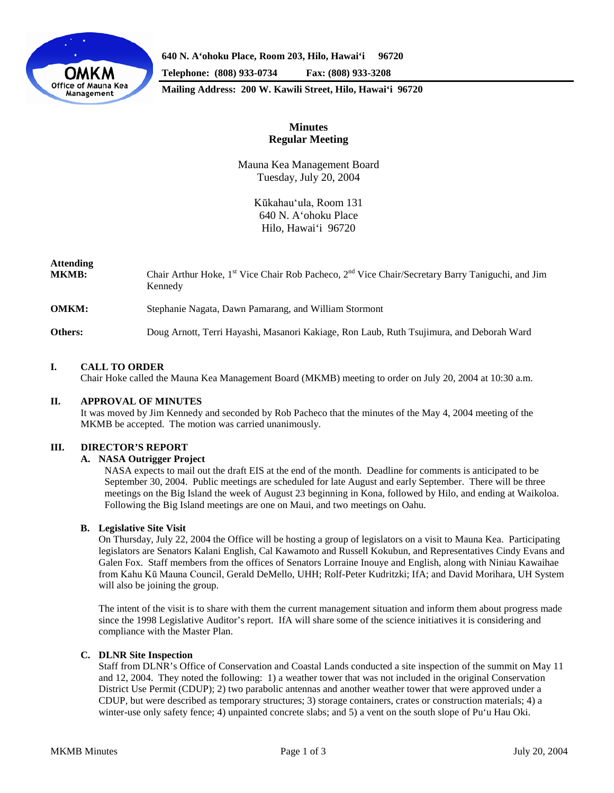

**640 N. A'ohoku Place, Room 203, Hilo, Hawai'i 96720 Telephone: (808) 933-0734 Fax: (808) 933-3208**

**Mailing Address: 200 W. Kawili Street, Hilo, Hawai'i 96720**

# **Minutes Regular Meeting**

Mauna Kea Management Board Tuesday, July 20, 2004

> Kūkahau'ula, Room 131 640 N. A'ohoku Place Hilo, Hawai'i 96720

# **Attending**

| <b>MKMB:</b> | Chair Arthur Hoke, 1 <sup>st</sup> Vice Chair Rob Pacheco, 2 <sup>nd</sup> Vice Chair/Secretary Barry Taniguchi, and Jim<br>Kennedy |
|--------------|-------------------------------------------------------------------------------------------------------------------------------------|
| <b>OMKM:</b> | Stephanie Nagata, Dawn Pamarang, and William Stormont                                                                               |
| Others:      | Doug Arnott, Terri Hayashi, Masanori Kakiage, Ron Laub, Ruth Tsujimura, and Deborah Ward                                            |

## **I. CALL TO ORDER**

Chair Hoke called the Mauna Kea Management Board (MKMB) meeting to order on July 20, 2004 at 10:30 a.m.

## **II. APPROVAL OF MINUTES**

It was moved by Jim Kennedy and seconded by Rob Pacheco that the minutes of the May 4, 2004 meeting of the MKMB be accepted. The motion was carried unanimously.

## **III. DIRECTOR'S REPORT**

## **A. NASA Outrigger Project**

NASA expects to mail out the draft EIS at the end of the month. Deadline for comments is anticipated to be September 30, 2004. Public meetings are scheduled for late August and early September. There will be three meetings on the Big Island the week of August 23 beginning in Kona, followed by Hilo, and ending at Waikoloa. Following the Big Island meetings are one on Maui, and two meetings on Oahu.

## **B. Legislative Site Visit**

On Thursday, July 22, 2004 the Office will be hosting a group of legislators on a visit to Mauna Kea. Participating legislators are Senators Kalani English, Cal Kawamoto and Russell Kokubun, and Representatives Cindy Evans and Galen Fox. Staff members from the offices of Senators Lorraine Inouye and English, along with Niniau Kawaihae from Kahu Kū Mauna Council, Gerald DeMello, UHH; Rolf-Peter Kudritzki; IfA; and David Morihara, UH System will also be joining the group.

The intent of the visit is to share with them the current management situation and inform them about progress made since the 1998 Legislative Auditor's report. IfA will share some of the science initiatives it is considering and compliance with the Master Plan.

## **C. DLNR Site Inspection**

Staff from DLNR's Office of Conservation and Coastal Lands conducted a site inspection of the summit on May 11 and 12, 2004. They noted the following: 1) a weather tower that was not included in the original Conservation District Use Permit (CDUP); 2) two parabolic antennas and another weather tower that were approved under a CDUP, but were described as temporary structures; 3) storage containers, crates or construction materials; 4) a winter-use only safety fence; 4) unpainted concrete slabs; and 5) a vent on the south slope of Pu'u Hau Oki.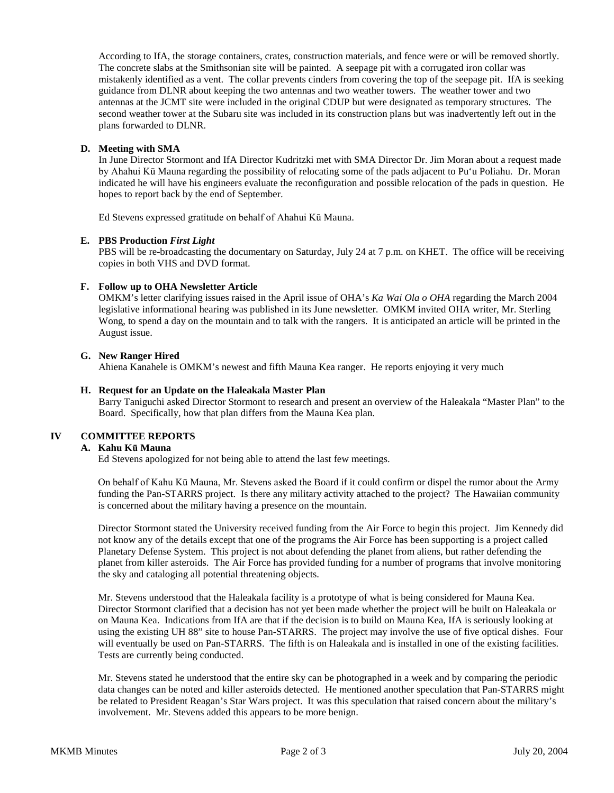According to IfA, the storage containers, crates, construction materials, and fence were or will be removed shortly. The concrete slabs at the Smithsonian site will be painted. A seepage pit with a corrugated iron collar was mistakenly identified as a vent. The collar prevents cinders from covering the top of the seepage pit. IfA is seeking guidance from DLNR about keeping the two antennas and two weather towers. The weather tower and two antennas at the JCMT site were included in the original CDUP but were designated as temporary structures. The second weather tower at the Subaru site was included in its construction plans but was inadvertently left out in the plans forwarded to DLNR.

### **D. Meeting with SMA**

In June Director Stormont and IfA Director Kudritzki met with SMA Director Dr. Jim Moran about a request made by Ahahui Kū Mauna regarding the possibility of relocating some of the pads adjacent to Pu'u Poliahu. Dr. Moran indicated he will have his engineers evaluate the reconfiguration and possible relocation of the pads in question. He hopes to report back by the end of September.

Ed Stevens expressed gratitude on behalf of Ahahui Kū Mauna.

#### **E. PBS Production** *First Light*

PBS will be re-broadcasting the documentary on Saturday, July 24 at 7 p.m. on KHET. The office will be receiving copies in both VHS and DVD format.

#### **F. Follow up to OHA Newsletter Article**

OMKM's letter clarifying issues raised in the April issue of OHA's *Ka Wai Ola o OHA* regarding the March 2004 legislative informational hearing was published in its June newsletter. OMKM invited OHA writer, Mr. Sterling Wong, to spend a day on the mountain and to talk with the rangers. It is anticipated an article will be printed in the August issue.

#### **G. New Ranger Hired**

Ahiena Kanahele is OMKM's newest and fifth Mauna Kea ranger. He reports enjoying it very much

#### **H. Request for an Update on the Haleakala Master Plan**

Barry Taniguchi asked Director Stormont to research and present an overview of the Haleakala "Master Plan" to the Board. Specifically, how that plan differs from the Mauna Kea plan.

## **IV COMMITTEE REPORTS**

#### **A. Kahu Kū Mauna**

Ed Stevens apologized for not being able to attend the last few meetings.

On behalf of Kahu Kū Mauna, Mr. Stevens asked the Board if it could confirm or dispel the rumor about the Army funding the Pan-STARRS project. Is there any military activity attached to the project? The Hawaiian community is concerned about the military having a presence on the mountain.

Director Stormont stated the University received funding from the Air Force to begin this project. Jim Kennedy did not know any of the details except that one of the programs the Air Force has been supporting is a project called Planetary Defense System. This project is not about defending the planet from aliens, but rather defending the planet from killer asteroids. The Air Force has provided funding for a number of programs that involve monitoring the sky and cataloging all potential threatening objects.

Mr. Stevens understood that the Haleakala facility is a prototype of what is being considered for Mauna Kea. Director Stormont clarified that a decision has not yet been made whether the project will be built on Haleakala or on Mauna Kea. Indications from IfA are that if the decision is to build on Mauna Kea, IfA is seriously looking at using the existing UH 88" site to house Pan-STARRS. The project may involve the use of five optical dishes. Four will eventually be used on Pan-STARRS. The fifth is on Haleakala and is installed in one of the existing facilities. Tests are currently being conducted.

Mr. Stevens stated he understood that the entire sky can be photographed in a week and by comparing the periodic data changes can be noted and killer asteroids detected. He mentioned another speculation that Pan-STARRS might be related to President Reagan's Star Wars project. It was this speculation that raised concern about the military's involvement. Mr. Stevens added this appears to be more benign.